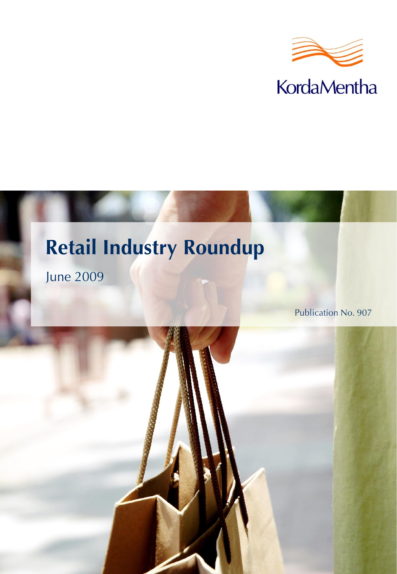



June 2009

Publication No. 907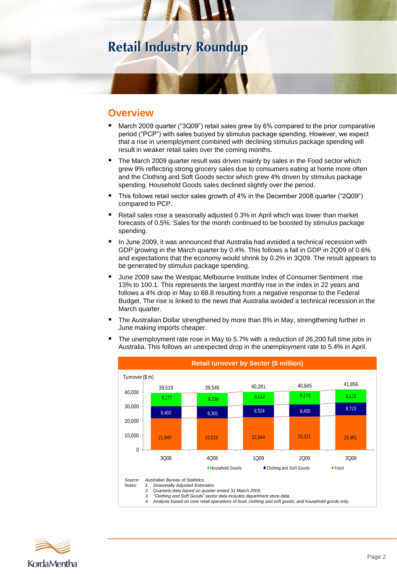## **Overview**

- March 2009 quarter ("3Q09") retail sales grew by 6% compared to the prior comparative period ("PCP") with sales buoyed by stimulus package spending. However, we expect that a rise in unemployment combined with declining stimulus package spending will result in weaker retail sales over the coming months.
- The March 2009 quarter result was driven mainly by sales in the Food sector which grew 9% reflecting strong grocery sales due to consumers eating at home more often and the Clothing and Soft Goods sector which grew 4% driven by stimulus package spending. Household Goods sales declined slightly over the period.
- This follows retail sector sales growth of 4% in the December 2008 quarter ("2Q09") compared to PCP.
- Retail sales rose a seasonally adjusted 0.3% in April which was lower than market forecasts of 0.5%. Sales for the month continued to be boosted by stimulus package spending.
- **In June 2009, it was announced that Australia had avoided a technical recession with** GDP growing in the March quarter by 0.4%. This follows a fall in GDP in 2Q09 of 0.6% and expectations that the economy would shrink by 0.2% in 3Q09. The result appears to be generated by stimulus package spending.
- June 2009 saw the Westpac Melbourne Institute Index of Consumer Sentiment rise 13% to 100.1. This represents the largest monthly rise in the index in 22 years and follows a 4% drop in May to 88.8 resulting from a negative response to the Federal Budget. The rise is linked to the news that Australia avoided a technical recession in the March quarter.
- The Australian Dollar strengthened by more than 8% in May, strengthening further in June making imports cheaper.



 The unemployment rate rose in May to 5.7% with a reduction of 26,200 full time jobs in Australia. This follows an unexpected drop in the unemployment rate to 5.4% in April.

*Source: Australian Bureau of Statistics.*

- *Notes: 1. Seasonally Adjusted Estimates.*
	- *2. Quarterly data based on quarter ended 31 March 2009.*
	- *3. "Clothing and Soft Goods" sector data includes department store data.*
		- *4. Analysis based on core retail operations of food, clothing and soft goods, and household goods only.*

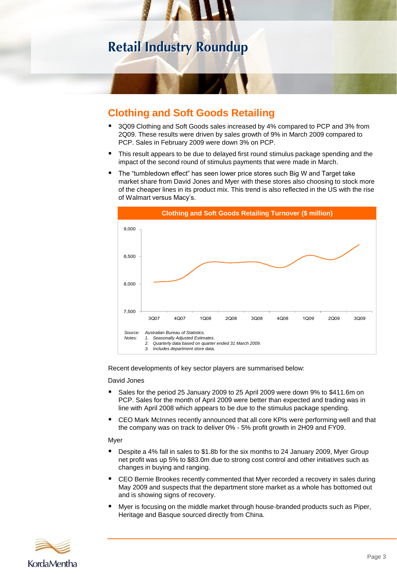

# **Clothing and Soft Goods Retailing**

- 3Q09 Clothing and Soft Goods sales increased by 4% compared to PCP and 3% from 2Q09. These results were driven by sales growth of 9% in March 2009 compared to PCP. Sales in February 2009 were down 3% on PCP.
- This result appears to be due to delayed first round stimulus package spending and the impact of the second round of stimulus payments that were made in March.
- The "tumbledown effect" has seen lower price stores such Big W and Target take market share from David Jones and Myer with these stores also choosing to stock more of the cheaper lines in its product mix. This trend is also reflected in the US with the rise of Walmart versus Macy's.



Recent developments of key sector players are summarised below:

### David Jones

- Sales for the period 25 January 2009 to 25 April 2009 were down 9% to \$411.6m on PCP. Sales for the month of April 2009 were better than expected and trading was in line with April 2008 which appears to be due to the stimulus package spending.
- CEO Mark McInnes recently announced that all core KPIs were performing well and that the company was on track to deliver 0% - 5% profit growth in 2H09 and FY09.

### Myer

- Despite a 4% fall in sales to \$1.8b for the six months to 24 January 2009, Myer Group net profit was up 5% to \$83.0m due to strong cost control and other initiatives such as changes in buying and ranging.
- CEO Bernie Brookes recently commented that Myer recorded a recovery in sales during May 2009 and suspects that the department store market as a whole has bottomed out and is showing signs of recovery.
- Myer is focusing on the middle market through house-branded products such as Piper, Heritage and Basque sourced directly from China.

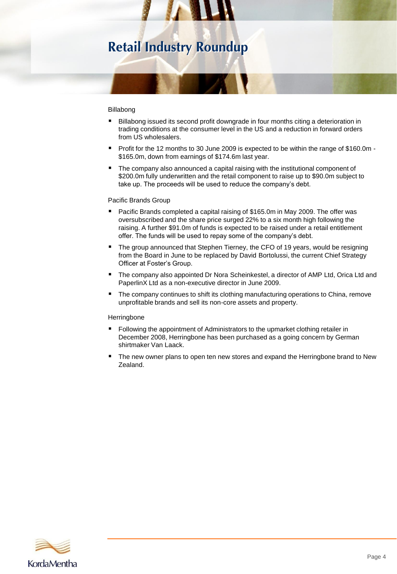### Billabong

- Billabong issued its second profit downgrade in four months citing a deterioration in trading conditions at the consumer level in the US and a reduction in forward orders from US wholesalers.
- Profit for the 12 months to 30 June 2009 is expected to be within the range of \$160.0m -\$165.0m, down from earnings of \$174.6m last year.
- The company also announced a capital raising with the institutional component of \$200.0m fully underwritten and the retail component to raise up to \$90.0m subject to take up. The proceeds will be used to reduce the company's debt.

### Pacific Brands Group

- Pacific Brands completed a capital raising of \$165.0m in May 2009. The offer was oversubscribed and the share price surged 22% to a six month high following the raising. A further \$91.0m of funds is expected to be raised under a retail entitlement offer. The funds will be used to repay some of the company's debt.
- The group announced that Stephen Tierney, the CFO of 19 years, would be resigning from the Board in June to be replaced by David Bortolussi, the current Chief Strategy Officer at Foster's Group.
- The company also appointed Dr Nora Scheinkestel, a director of AMP Ltd, Orica Ltd and PaperlinX Ltd as a non-executive director in June 2009.
- **The company continues to shift its clothing manufacturing operations to China, remove** unprofitable brands and sell its non-core assets and property.

#### **Herringbone**

- Following the appointment of Administrators to the upmarket clothing retailer in December 2008, Herringbone has been purchased as a going concern by German shirtmaker Van Laack.
- The new owner plans to open ten new stores and expand the Herringbone brand to New Zealand.

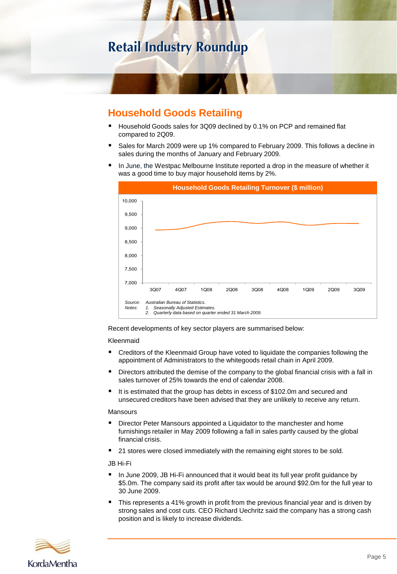

# **Household Goods Retailing**

- Household Goods sales for 3Q09 declined by 0.1% on PCP and remained flat compared to 2Q09.
- Sales for March 2009 were up 1% compared to February 2009. This follows a decline in sales during the months of January and February 2009.
- In June, the Westpac Melbourne Institute reported a drop in the measure of whether it was a good time to buy major household items by 2%.



Recent developments of key sector players are summarised below:

### Kleenmaid

- Creditors of the Kleenmaid Group have voted to liquidate the companies following the appointment of Administrators to the whitegoods retail chain in April 2009.
- Directors attributed the demise of the company to the global financial crisis with a fall in sales turnover of 25% towards the end of calendar 2008.
- It is estimated that the group has debts in excess of \$102.0m and secured and unsecured creditors have been advised that they are unlikely to receive any return.

#### Mansours

- Director Peter Mansours appointed a Liquidator to the manchester and home furnishings retailer in May 2009 following a fall in sales partly caused by the global financial crisis.
- 21 stores were closed immediately with the remaining eight stores to be sold.

JB Hi-Fi

- In June 2009, JB Hi-Fi announced that it would beat its full year profit guidance by \$5.0m. The company said its profit after tax would be around \$92.0m for the full year to 30 June 2009.
- This represents a 41% growth in profit from the previous financial year and is driven by strong sales and cost cuts. CEO Richard Uechritz said the company has a strong cash position and is likely to increase dividends.

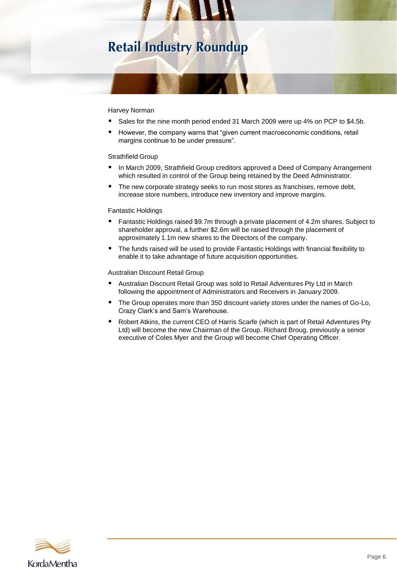### Harvey Norman

- Sales for the nine month period ended 31 March 2009 were up 4% on PCP to \$4.5b.
- However, the company warns that "given current macroeconomic conditions, retail margins continue to be under pressure".

### Strathfield Group

- In March 2009, Strathfield Group creditors approved a Deed of Company Arrangement which resulted in control of the Group being retained by the Deed Administrator.
- The new corporate strategy seeks to run most stores as franchises, remove debt, increase store numbers, introduce new inventory and improve margins.

#### Fantastic Holdings

- Fantastic Holdings raised \$9.7m through a private placement of 4.2m shares. Subject to shareholder approval, a further \$2.6m will be raised through the placement of approximately 1.1m new shares to the Directors of the company.
- The funds raised will be used to provide Fantastic Holdings with financial flexibility to enable it to take advantage of future acquisition opportunities.

Australian Discount Retail Group

- Australian Discount Retail Group was sold to Retail Adventures Pty Ltd in March following the appointment of Administrators and Receivers in January 2009.
- The Group operates more than 350 discount variety stores under the names of Go-Lo, Crazy Clark's and Sam's Warehouse.
- Robert Atkins, the current CEO of Harris Scarfe (which is part of Retail Adventures Pty Ltd) will become the new Chairman of the Group. Richard Broug, previously a senior executive of Coles Myer and the Group will become Chief Operating Officer.

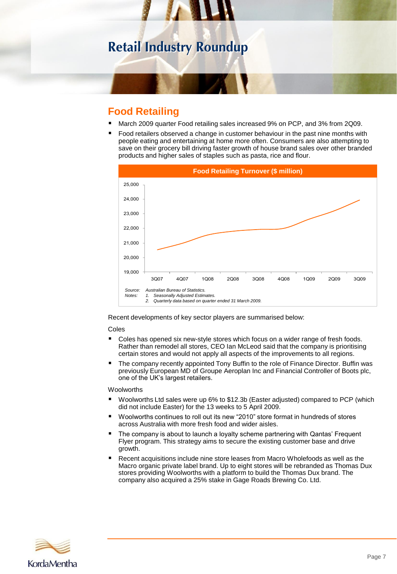# **Food Retailing**

- March 2009 quarter Food retailing sales increased 9% on PCP, and 3% from 2Q09.
- Food retailers observed a change in customer behaviour in the past nine months with people eating and entertaining at home more often. Consumers are also attempting to save on their grocery bill driving faster growth of house brand sales over other branded products and higher sales of staples such as pasta, rice and flour.



Recent developments of key sector players are summarised below:

### Coles

- Coles has opened six new-style stores which focus on a wider range of fresh foods. Rather than remodel all stores, CEO Ian McLeod said that the company is prioritising certain stores and would not apply all aspects of the improvements to all regions.
- The company recently appointed Tony Buffin to the role of Finance Director. Buffin was previously European MD of Groupe Aeroplan Inc and Financial Controller of Boots plc, one of the UK's largest retailers.

#### **Woolworths**

- Woolworths Ltd sales were up 6% to \$12.3b (Easter adjusted) compared to PCP (which did not include Easter) for the 13 weeks to 5 April 2009.
- Woolworths continues to roll out its new "2010" store format in hundreds of stores across Australia with more fresh food and wider aisles.
- The company is about to launch a loyalty scheme partnering with Qantas' Frequent Flyer program. This strategy aims to secure the existing customer base and drive growth.
- Recent acquisitions include nine store leases from Macro Wholefoods as well as the Macro organic private label brand. Up to eight stores will be rebranded as Thomas Dux stores providing Woolworths with a platform to build the Thomas Dux brand. The company also acquired a 25% stake in Gage Roads Brewing Co. Ltd.

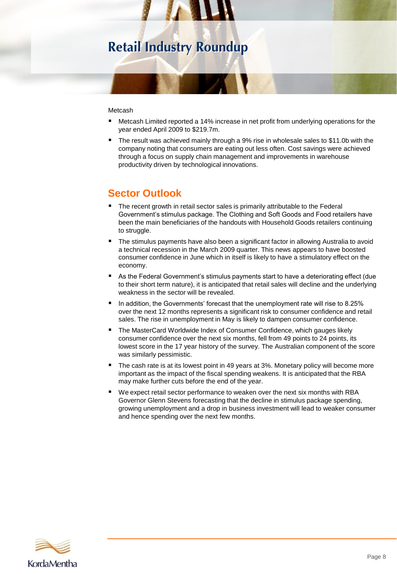### **Metcash**

- Metcash Limited reported a 14% increase in net profit from underlying operations for the year ended April 2009 to \$219.7m.
- The result was achieved mainly through a 9% rise in wholesale sales to \$11.0b with the company noting that consumers are eating out less often. Cost savings were achieved through a focus on supply chain management and improvements in warehouse productivity driven by technological innovations.

# **Sector Outlook**

- The recent growth in retail sector sales is primarily attributable to the Federal Government's stimulus package. The Clothing and Soft Goods and Food retailers have been the main beneficiaries of the handouts with Household Goods retailers continuing to struggle.
- The stimulus payments have also been a significant factor in allowing Australia to avoid a technical recession in the March 2009 quarter. This news appears to have boosted consumer confidence in June which in itself is likely to have a stimulatory effect on the economy.
- **As the Federal Government's stimulus payments start to have a deteriorating effect (due** to their short term nature), it is anticipated that retail sales will decline and the underlying weakness in the sector will be revealed.
- $\blacksquare$  In addition, the Governments' forecast that the unemployment rate will rise to 8.25% over the next 12 months represents a significant risk to consumer confidence and retail sales. The rise in unemployment in May is likely to dampen consumer confidence.
- The MasterCard Worldwide Index of Consumer Confidence, which gauges likely consumer confidence over the next six months, fell from 49 points to 24 points, its lowest score in the 17 year history of the survey. The Australian component of the score was similarly pessimistic.
- The cash rate is at its lowest point in 49 years at 3%. Monetary policy will become more important as the impact of the fiscal spending weakens. It is anticipated that the RBA may make further cuts before the end of the year.
- We expect retail sector performance to weaken over the next six months with RBA Governor Glenn Stevens forecasting that the decline in stimulus package spending, growing unemployment and a drop in business investment will lead to weaker consumer and hence spending over the next few months.

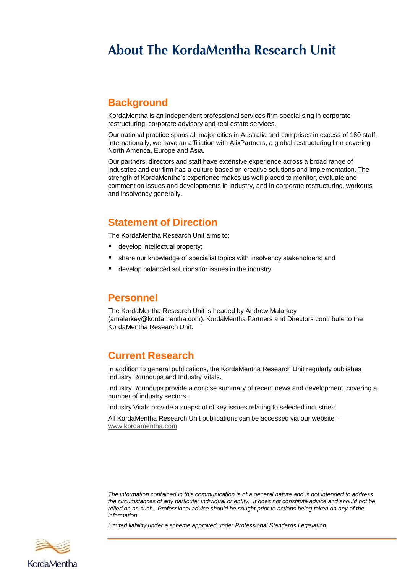# **About The KordaMentha Research Unit**

## **Background**

KordaMentha is an independent professional services firm specialising in corporate restructuring, corporate advisory and real estate services.

Our national practice spans all major cities in Australia and comprises in excess of 180 staff. Internationally, we have an affiliation with AlixPartners, a global restructuring firm covering North America, Europe and Asia.

Our partners, directors and staff have extensive experience across a broad range of industries and our firm has a culture based on creative solutions and implementation. The strength of KordaMentha's experience makes us well placed to monitor, evaluate and comment on issues and developments in industry, and in corporate restructuring, workouts and insolvency generally.

## **Statement of Direction**

The KordaMentha Research Unit aims to:

- e develop intellectual property;
- **share our knowledge of specialist topics with insolvency stakeholders; and**
- develop balanced solutions for issues in the industry.

### **Personnel**

The KordaMentha Research Unit is headed by Andrew Malarkey (amalarkey@kordamentha.com). KordaMentha Partners and Directors contribute to the KordaMentha Research Unit.

### **Current Research**

In addition to general publications, the KordaMentha Research Unit regularly publishes Industry Roundups and Industry Vitals.

Industry Roundups provide a concise summary of recent news and development, covering a number of industry sectors.

Industry Vitals provide a snapshot of key issues relating to selected industries.

All KordaMentha Research Unit publications can be accessed via our website – [www.kordamentha.com](http://www.kordamentha.com/)

*The information contained in this communication is of a general nature and is not intended to address the circumstances of any particular individual or entity. It does not constitute advice and should not be relied on as such. Professional advice should be sought prior to actions being taken on any of the information.*

*Limited liability under a scheme approved under Professional Standards Legislation.*